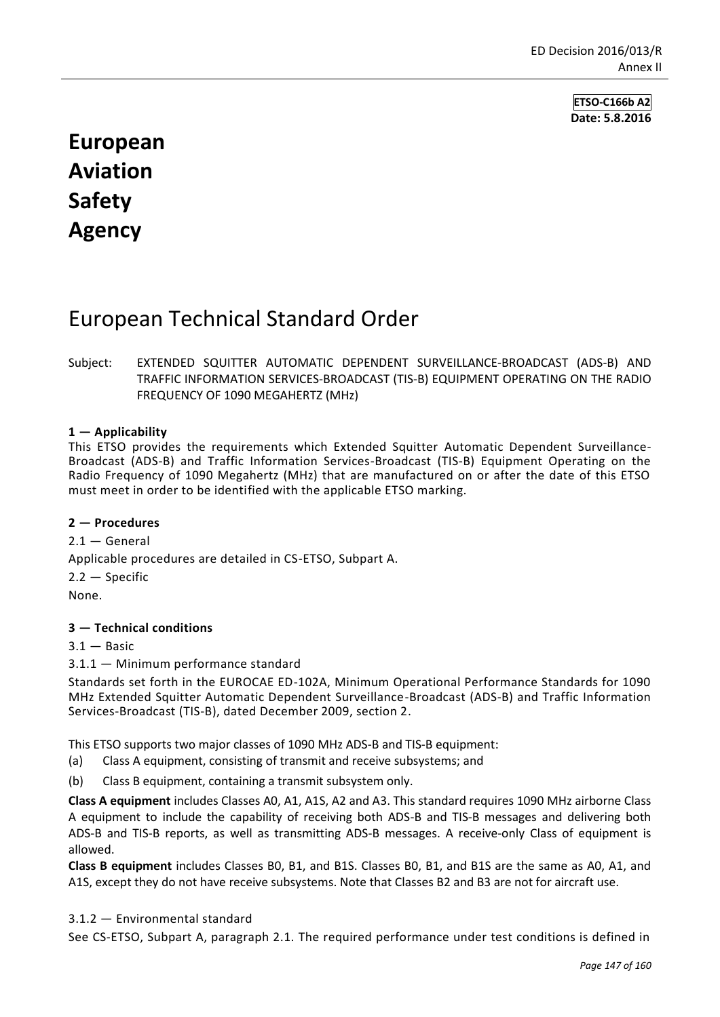**ETSO-C166b A2 Date: 5.8.2016**

# **European Aviation Safety Agency**

## European Technical Standard Order

### Subject: EXTENDED SQUITTER AUTOMATIC DEPENDENT SURVEILLANCE-BROADCAST (ADS-B) AND TRAFFIC INFORMATION SERVICES-BROADCAST (TIS-B) EQUIPMENT OPERATING ON THE RADIO FREQUENCY OF 1090 MEGAHERTZ (MHz)

## **1 — Applicability**

This ETSO provides the requirements which Extended Squitter Automatic Dependent Surveillance-Broadcast (ADS-B) and Traffic Information Services-Broadcast (TIS-B) Equipment Operating on the Radio Frequency of 1090 Megahertz (MHz) that are manufactured on or after the date of this ETSO must meet in order to be identified with the applicable ETSO marking.

### **2 — Procedures**

 $2.1 -$  General Applicable procedures are detailed in CS-ETSO, Subpart A.  $2.2 -$  Specific None.

#### **3 — Technical conditions**

 $3.1 -$ Basic

3.1.1 — Minimum performance standard

Standards set forth in the EUROCAE ED-102A, Minimum Operational Performance Standards for 1090 MHz Extended Squitter Automatic Dependent Surveillance-Broadcast (ADS-B) and Traffic Information Services-Broadcast (TIS-B), dated December 2009, section 2.

This ETSO supports two major classes of 1090 MHz ADS-B and TIS-B equipment:

- (a) Class A equipment, consisting of transmit and receive subsystems; and
- (b) Class B equipment, containing a transmit subsystem only.

**Class A equipment** includes Classes A0, A1, A1S, A2 and A3. This standard requires 1090 MHz airborne Class A equipment to include the capability of receiving both ADS-B and TIS-B messages and delivering both ADS-B and TIS-B reports, as well as transmitting ADS-B messages. A receive-only Class of equipment is allowed.

**Class B equipment** includes Classes B0, B1, and B1S. Classes B0, B1, and B1S are the same as A0, A1, and A1S, except they do not have receive subsystems. Note that Classes B2 and B3 are not for aircraft use.

3.1.2 — Environmental standard

See CS-ETSO, Subpart A, paragraph 2.1. The required performance under test conditions is defined in